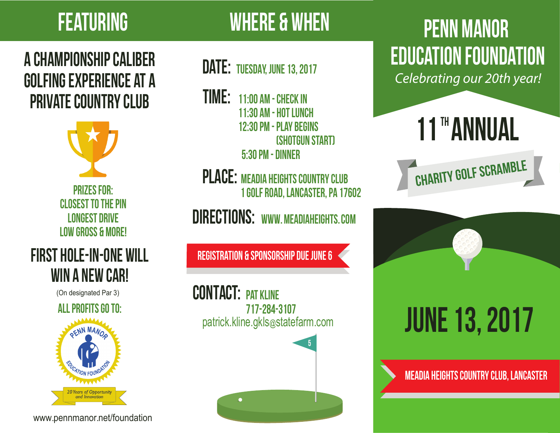## A Championship Caliber Golfing Experience at a PRIVATE COUNTRY CLUB



Prizes For: CI OSEST TO THE PIN Longest Drive Low Gross & More!

## First Hole-in-One Will WIN A NEW CAR!

(On designated Par 3)





www.pennmanor.net/foundation

## FEATURING WHERE & WHEN

## DATE: TUESDAY, JUNE 13, 2017

- Time: 11:00 am Check In 11:30 am - Hot Lunch 12:30 pm - Play Begins (Shotgun Start) 5:30 pm - Dinner
- PLACE: MEADIA HEIGHTS COUNTRY CLUB 1 Golf Road, Lancaster, PA 17602

DIRECTIONS: WWW.MEADIAHEIGHTS.COM

Registration & Sponsorship Due June 6

CONTACT: PAT KLINE 717-284-3107 patrick.kline.gkls@statefarm.com



## PENN MANOR EDUCATION FOUNDATION

*Celebrating our 20th year!*

# 11 HANNUAL





MEaDIA HEIGHTS COUNTRY CLUB, LANCASTER